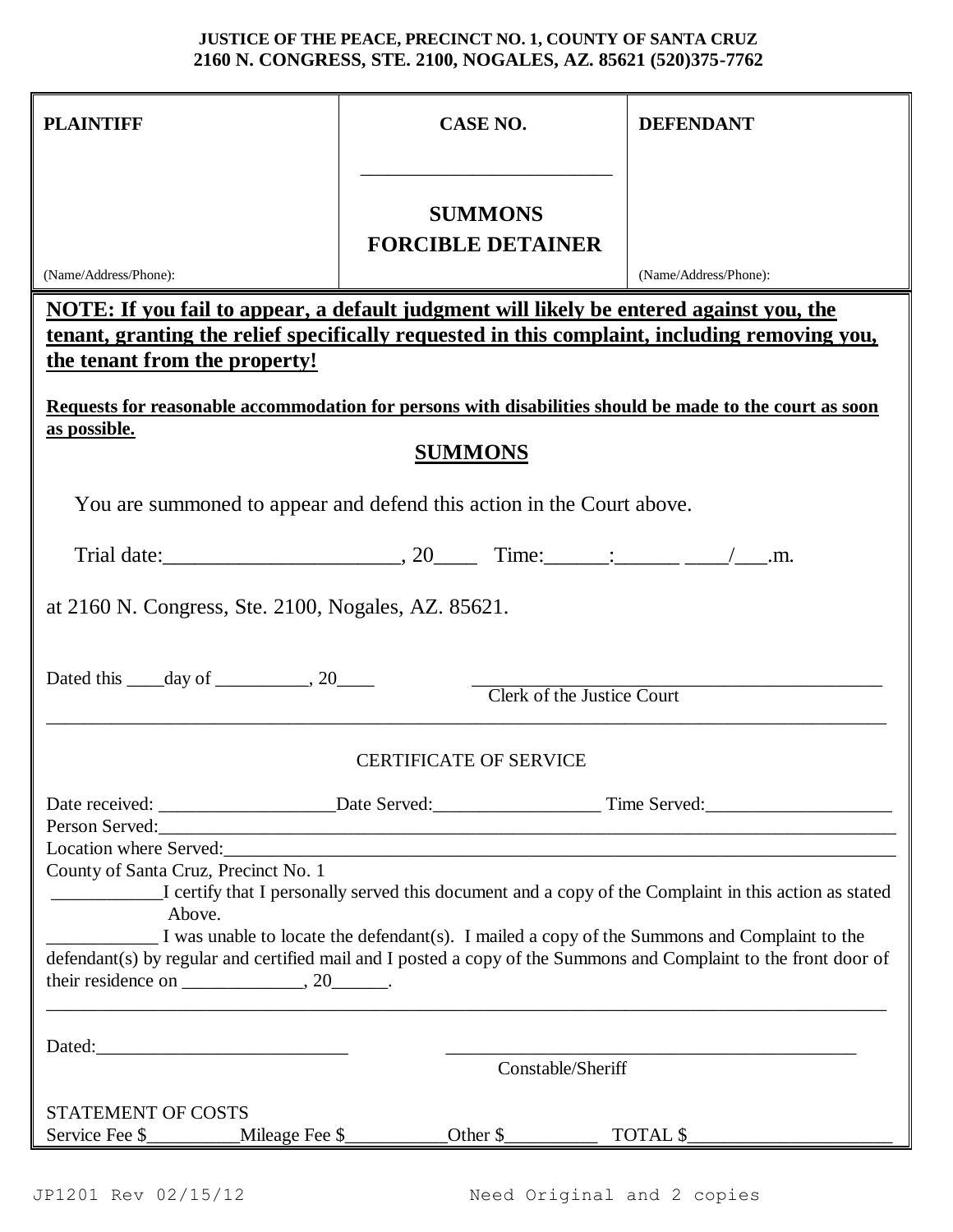## **JUSTICE OF THE PEACE, PRECINCT NO. 1, COUNTY OF SANTA CRUZ 2160 N. CONGRESS, STE. 2100, NOGALES, AZ. 85621 (520)375-7762**

| <b>PLAINTIFF</b>                                                                                                                                                                                                                                                                                                                                                            | <b>CASE NO.</b>                                                | <b>DEFENDANT</b>      |
|-----------------------------------------------------------------------------------------------------------------------------------------------------------------------------------------------------------------------------------------------------------------------------------------------------------------------------------------------------------------------------|----------------------------------------------------------------|-----------------------|
|                                                                                                                                                                                                                                                                                                                                                                             | <b>SUMMONS</b>                                                 |                       |
|                                                                                                                                                                                                                                                                                                                                                                             | <b>FORCIBLE DETAINER</b>                                       |                       |
| (Name/Address/Phone):                                                                                                                                                                                                                                                                                                                                                       |                                                                | (Name/Address/Phone): |
| <u>NOTE: If you fail to appear, a default judgment will likely be entered against you, the</u><br><u>tenant, granting the relief specifically requested in this complaint, including removing you,</u><br><u>the tenant from the property!</u><br>Requests for reasonable accommodation for persons with disabilities should be made to the court as soon                   |                                                                |                       |
| as possible.<br><b>SUMMONS</b>                                                                                                                                                                                                                                                                                                                                              |                                                                |                       |
| You are summoned to appear and defend this action in the Court above.                                                                                                                                                                                                                                                                                                       |                                                                |                       |
|                                                                                                                                                                                                                                                                                                                                                                             |                                                                |                       |
| at 2160 N. Congress, Ste. 2100, Nogales, AZ. 85621.                                                                                                                                                                                                                                                                                                                         |                                                                |                       |
| Dated this _____ day of _____________, 20_______                                                                                                                                                                                                                                                                                                                            | <b>Clerk of the Justice Court</b>                              |                       |
| <b>CERTIFICATE OF SERVICE</b>                                                                                                                                                                                                                                                                                                                                               |                                                                |                       |
|                                                                                                                                                                                                                                                                                                                                                                             |                                                                |                       |
| Location where Served:<br><u>Location</u> where Served:                                                                                                                                                                                                                                                                                                                     |                                                                |                       |
| County of Santa Cruz, Precinct No. 1<br>I certify that I personally served this document and a copy of the Complaint in this action as stated<br>Above.<br>I was unable to locate the defendant(s). I mailed a copy of the Summons and Complaint to the<br>defendant(s) by regular and certified mail and I posted a copy of the Summons and Complaint to the front door of |                                                                |                       |
| Dated:                                                                                                                                                                                                                                                                                                                                                                      |                                                                |                       |
|                                                                                                                                                                                                                                                                                                                                                                             | <u> 2001 - Jan Samuel Barbara, manala</u><br>Constable/Sheriff |                       |
|                                                                                                                                                                                                                                                                                                                                                                             |                                                                |                       |
| <b>STATEMENT OF COSTS</b>                                                                                                                                                                                                                                                                                                                                                   |                                                                |                       |
|                                                                                                                                                                                                                                                                                                                                                                             |                                                                |                       |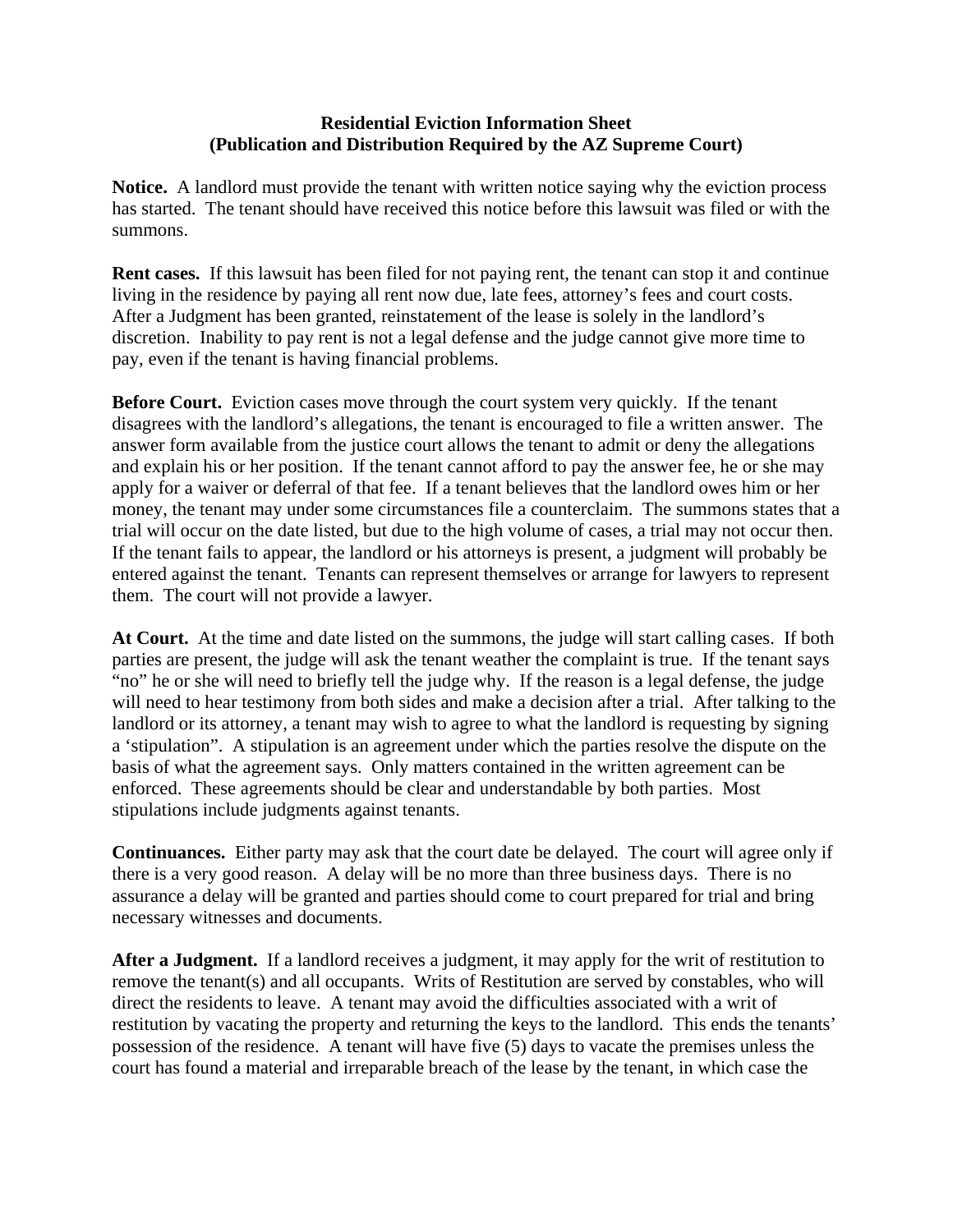## **Residential Eviction Information Sheet (Publication and Distribution Required by the AZ Supreme Court)**

**Notice.** A landlord must provide the tenant with written notice saying why the eviction process has started. The tenant should have received this notice before this lawsuit was filed or with the summons.

**Rent cases.** If this lawsuit has been filed for not paying rent, the tenant can stop it and continue living in the residence by paying all rent now due, late fees, attorney's fees and court costs. After a Judgment has been granted, reinstatement of the lease is solely in the landlord's discretion. Inability to pay rent is not a legal defense and the judge cannot give more time to pay, even if the tenant is having financial problems.

**Before Court.** Eviction cases move through the court system very quickly. If the tenant disagrees with the landlord's allegations, the tenant is encouraged to file a written answer. The answer form available from the justice court allows the tenant to admit or deny the allegations and explain his or her position. If the tenant cannot afford to pay the answer fee, he or she may apply for a waiver or deferral of that fee. If a tenant believes that the landlord owes him or her money, the tenant may under some circumstances file a counterclaim. The summons states that a trial will occur on the date listed, but due to the high volume of cases, a trial may not occur then. If the tenant fails to appear, the landlord or his attorneys is present, a judgment will probably be entered against the tenant. Tenants can represent themselves or arrange for lawyers to represent them. The court will not provide a lawyer.

**At Court.** At the time and date listed on the summons, the judge will start calling cases. If both parties are present, the judge will ask the tenant weather the complaint is true. If the tenant says "no" he or she will need to briefly tell the judge why. If the reason is a legal defense, the judge will need to hear testimony from both sides and make a decision after a trial. After talking to the landlord or its attorney, a tenant may wish to agree to what the landlord is requesting by signing a 'stipulation". A stipulation is an agreement under which the parties resolve the dispute on the basis of what the agreement says. Only matters contained in the written agreement can be enforced. These agreements should be clear and understandable by both parties. Most stipulations include judgments against tenants.

**Continuances.** Either party may ask that the court date be delayed. The court will agree only if there is a very good reason. A delay will be no more than three business days. There is no assurance a delay will be granted and parties should come to court prepared for trial and bring necessary witnesses and documents.

**After a Judgment.** If a landlord receives a judgment, it may apply for the writ of restitution to remove the tenant(s) and all occupants. Writs of Restitution are served by constables, who will direct the residents to leave. A tenant may avoid the difficulties associated with a writ of restitution by vacating the property and returning the keys to the landlord. This ends the tenants' possession of the residence. A tenant will have five (5) days to vacate the premises unless the court has found a material and irreparable breach of the lease by the tenant, in which case the